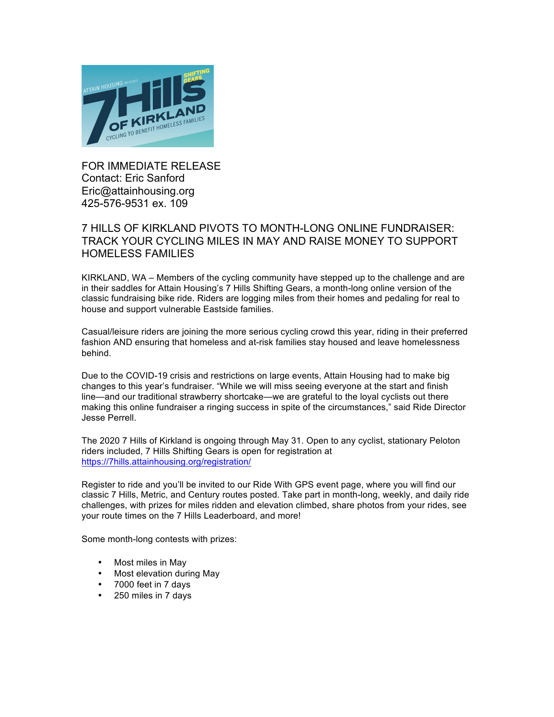

FOR IMMEDIATE RELEASE Contact: Eric Sanford Eric@attainhousing.org 425-576-9531 ex. 109

## 7 HILLS OF KIRKLAND PIVOTS TO MONTH-LONG ONLINE FUNDRAISER: TRACK YOUR CYCLING MILES IN MAY AND RAISE MONEY TO SUPPORT HOMELESS FAMILIES

KIRKLAND, WA – Members of the cycling community have stepped up to the challenge and are in their saddles for Attain Housing's 7 Hills Shifting Gears, a month-long online version of the classic fundraising bike ride. Riders are logging miles from their homes and pedaling for real to house and support vulnerable Eastside families.

Casual/leisure riders are joining the more serious cycling crowd this year, riding in their preferred fashion AND ensuring that homeless and at-risk families stay housed and leave homelessness behind.

Due to the COVID-19 crisis and restrictions on large events, Attain Housing had to make big changes to this year's fundraiser. "While we will miss seeing everyone at the start and finish line—and our traditional strawberry shortcake—we are grateful to the loyal cyclists out there making this online fundraiser a ringing success in spite of the circumstances," said Ride Director Jesse Perrell.

The 2020 7 Hills of Kirkland is ongoing through May 31. Open to any cyclist, stationary Peloton riders included, 7 Hills Shifting Gears is open for registration at https://7hills.attainhousing.org/registration/

Register to ride and you'll be invited to our Ride With GPS event page, where you will find our classic 7 Hills, Metric, and Century routes posted. Take part in month-long, weekly, and daily ride challenges, with prizes for miles ridden and elevation climbed, share photos from your rides, see your route times on the 7 Hills Leaderboard, and more!

Some month-long contests with prizes:

- Most miles in May
- Most elevation during May
- 7000 feet in 7 days
- 250 miles in 7 days